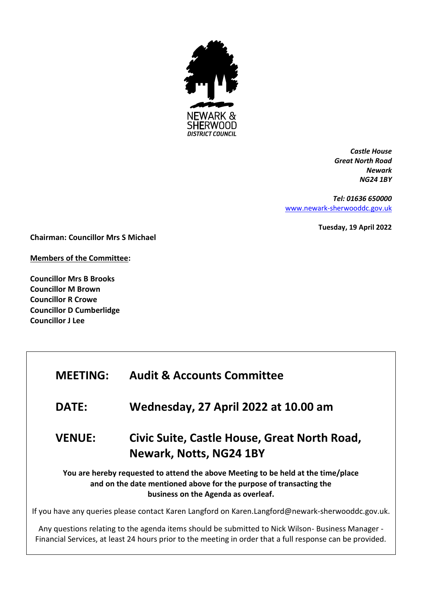

*Castle House Great North Road Newark NG24 1BY*

*Tel: 01636 650000* [www.newark-sherwooddc.gov.uk](http://www.newark-sherwooddc.gov.uk/)

**Tuesday, 19 April 2022**

**Chairman: Councillor Mrs S Michael**

**Members of the Committee:**

**Councillor Mrs B Brooks Councillor M Brown Councillor R Crowe Councillor D Cumberlidge Councillor J Lee**

| <b>MEETING:</b>                                                                                                                                                                                | <b>Audit &amp; Accounts Committee</b>                                   |  |
|------------------------------------------------------------------------------------------------------------------------------------------------------------------------------------------------|-------------------------------------------------------------------------|--|
| <b>DATE:</b>                                                                                                                                                                                   | Wednesday, 27 April 2022 at 10.00 am                                    |  |
| <b>VENUE:</b>                                                                                                                                                                                  | Civic Suite, Castle House, Great North Road,<br>Newark, Notts, NG24 1BY |  |
| You are hereby requested to attend the above Meeting to be held at the time/place<br>and on the date mentioned above for the purpose of transacting the<br>business on the Agenda as overleaf. |                                                                         |  |
| If you have any queries please contact Karen Langford on Karen.Langford@newark-sherwooddc.gov.uk.                                                                                              |                                                                         |  |

Any questions relating to the agenda items should be submitted to Nick Wilson- Business Manager - Financial Services, at least 24 hours prior to the meeting in order that a full response can be provided.